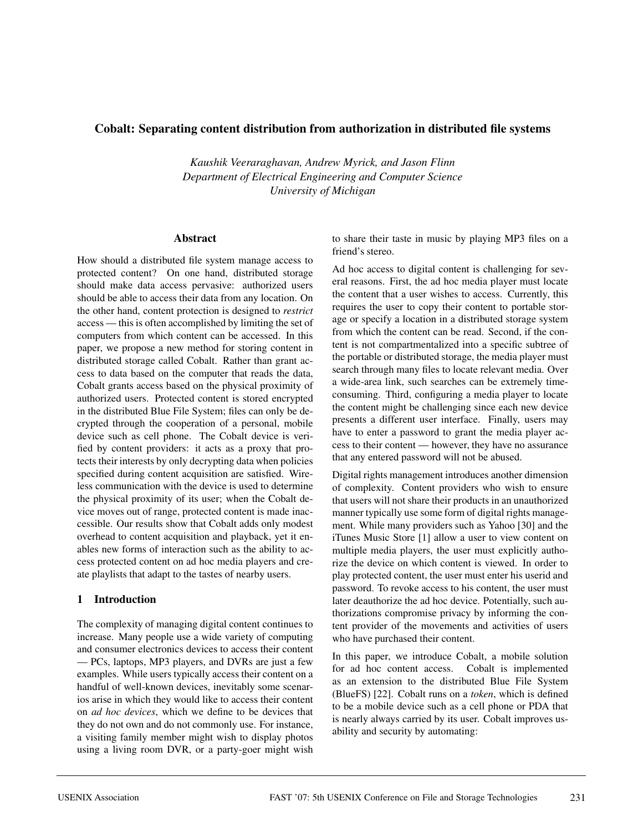### **Cobalt: Separating content distribution from authorization in distributed file systems**

*Kaushik Veeraraghavan, Andrew Myrick, and Jason Flinn Department of Electrical Engineering and Computer Science University of Michigan*

#### **Abstract**

How should a distributed file system manage access to protected content? On one hand, distributed storage should make data access pervasive: authorized users should be able to access their data from any location. On the other hand, content protection is designed to *restrict* access — this is often accomplished by limiting the set of computers from which content can be accessed. In this paper, we propose a new method for storing content in distributed storage called Cobalt. Rather than grant access to data based on the computer that reads the data, Cobalt grants access based on the physical proximity of authorized users. Protected content is stored encrypted in the distributed Blue File System; files can only be decrypted through the cooperation of a personal, mobile device such as cell phone. The Cobalt device is verified by content providers: it acts as a proxy that protects their interests by only decrypting data when policies specified during content acquisition are satisfied. Wireless communication with the device is used to determine the physical proximity of its user; when the Cobalt device moves out of range, protected content is made inaccessible. Our results show that Cobalt adds only modest overhead to content acquisition and playback, yet it enables new forms of interaction such as the ability to access protected content on ad hoc media players and create playlists that adapt to the tastes of nearby users.

#### **1 Introduction**

The complexity of managing digital content continues to increase. Many people use a wide variety of computing and consumer electronics devices to access their content — PCs, laptops, MP3 players, and DVRs are just a few examples. While users typically access their content on a handful of well-known devices, inevitably some scenarios arise in which they would like to access their content on *ad hoc devices*, which we define to be devices that they do not own and do not commonly use. For instance, a visiting family member might wish to display photos using a living room DVR, or a party-goer might wish

to share their taste in music by playing MP3 files on a friend's stereo.

Ad hoc access to digital content is challenging for several reasons. First, the ad hoc media player must locate the content that a user wishes to access. Currently, this requires the user to copy their content to portable storage or specify a location in a distributed storage system from which the content can be read. Second, if the content is not compartmentalized into a specific subtree of the portable or distributed storage, the media player must search through many files to locate relevant media. Over a wide-area link, such searches can be extremely timeconsuming. Third, configuring a media player to locate the content might be challenging since each new device presents a different user interface. Finally, users may have to enter a password to grant the media player access to their content — however, they have no assurance that any entered password will not be abused.

Digital rights management introduces another dimension of complexity. Content providers who wish to ensure that users will not share their products in an unauthorized manner typically use some form of digital rights management. While many providers such as Yahoo [30] and the iTunes Music Store [1] allow a user to view content on multiple media players, the user must explicitly authorize the device on which content is viewed. In order to play protected content, the user must enter his userid and password. To revoke access to his content, the user must later deauthorize the ad hoc device. Potentially, such authorizations compromise privacy by informing the content provider of the movements and activities of users who have purchased their content.

In this paper, we introduce Cobalt, a mobile solution for ad hoc content access. Cobalt is implemented as an extension to the distributed Blue File System (BlueFS) [22]. Cobalt runs on a *token*, which is defined to be a mobile device such as a cell phone or PDA that is nearly always carried by its user. Cobalt improves usability and security by automating: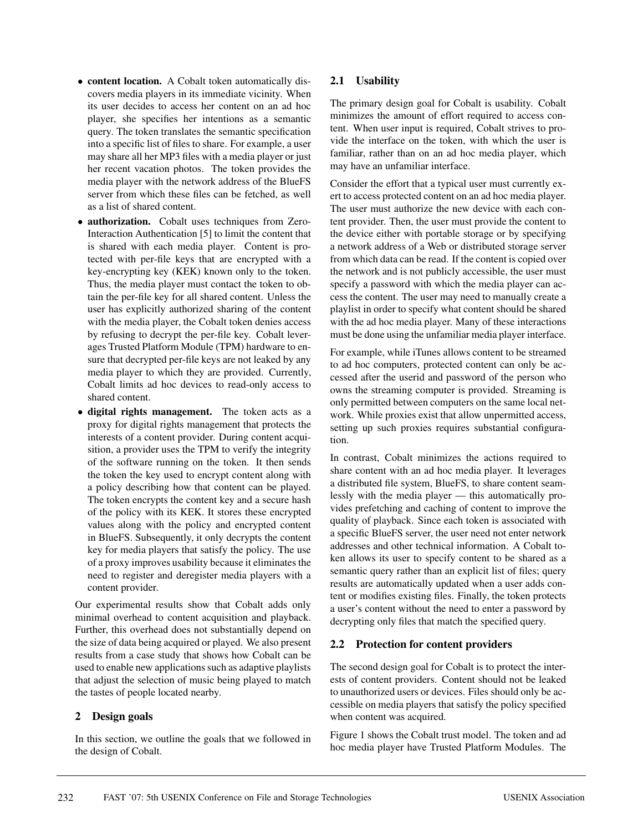- **content location.** A Cobalt token automatically discovers media players in its immediate vicinity. When its user decides to access her content on an ad hoc player, she specifies her intentions as a semantic query. The token translates the semantic specification into a specific list of files to share. For example, a user may share all her MP3 files with a media player or just her recent vacation photos. The token provides the media player with the network address of the BlueFS server from which these files can be fetched, as well as a list of shared content.
- **authorization.** Cobalt uses techniques from Zero-Interaction Authentication [5] to limit the content that is shared with each media player. Content is protected with per-file keys that are encrypted with a key-encrypting key (KEK) known only to the token. Thus, the media player must contact the token to obtain the per-file key for all shared content. Unless the user has explicitly authorized sharing of the content with the media player, the Cobalt token denies access by refusing to decrypt the per-file key. Cobalt leverages Trusted Platform Module (TPM) hardware to ensure that decrypted per-file keys are not leaked by any media player to which they are provided. Currently, Cobalt limits ad hoc devices to read-only access to shared content.
- **digital rights management.** The token acts as a proxy for digital rights management that protects the interests of a content provider. During content acquisition, a provider uses the TPM to verify the integrity of the software running on the token. It then sends the token the key used to encrypt content along with a policy describing how that content can be played. The token encrypts the content key and a secure hash of the policy with its KEK. It stores these encrypted values along with the policy and encrypted content in BlueFS. Subsequently, it only decrypts the content key for media players that satisfy the policy. The use of a proxy improves usability because it eliminates the need to register and deregister media players with a content provider.

Our experimental results show that Cobalt adds only minimal overhead to content acquisition and playback. Further, this overhead does not substantially depend on the size of data being acquired or played. We also present results from a case study that shows how Cobalt can be used to enable new applications such as adaptive playlists that adjust the selection of music being played to match the tastes of people located nearby.

## **2 Design goals**

In this section, we outline the goals that we followed in the design of Cobalt.

## **2.1 Usability**

The primary design goal for Cobalt is usability. Cobalt minimizes the amount of effort required to access content. When user input is required, Cobalt strives to provide the interface on the token, with which the user is familiar, rather than on an ad hoc media player, which may have an unfamiliar interface.

Consider the effort that a typical user must currently exert to access protected content on an ad hoc media player. The user must authorize the new device with each content provider. Then, the user must provide the content to the device either with portable storage or by specifying a network address of a Web or distributed storage server from which data can be read. If the content is copied over the network and is not publicly accessible, the user must specify a password with which the media player can access the content. The user may need to manually create a playlist in order to specify what content should be shared with the ad hoc media player. Many of these interactions must be done using the unfamiliar media player interface.

For example, while iTunes allows content to be streamed to ad hoc computers, protected content can only be accessed after the userid and password of the person who owns the streaming computer is provided. Streaming is only permitted between computers on the same local network. While proxies exist that allow unpermitted access, setting up such proxies requires substantial configuration.

In contrast, Cobalt minimizes the actions required to share content with an ad hoc media player. It leverages a distributed file system, BlueFS, to share content seamlessly with the media player — this automatically provides prefetching and caching of content to improve the quality of playback. Since each token is associated with a specific BlueFS server, the user need not enter network addresses and other technical information. A Cobalt token allows its user to specify content to be shared as a semantic query rather than an explicit list of files; query results are automatically updated when a user adds content or modifies existing files. Finally, the token protects a user's content without the need to enter a password by decrypting only files that match the specified query.

#### **2.2 Protection for content providers**

The second design goal for Cobalt is to protect the interests of content providers. Content should not be leaked to unauthorized users or devices. Files should only be accessible on media players that satisfy the policy specified when content was acquired.

Figure 1 shows the Cobalt trust model. The token and ad hoc media player have Trusted Platform Modules. The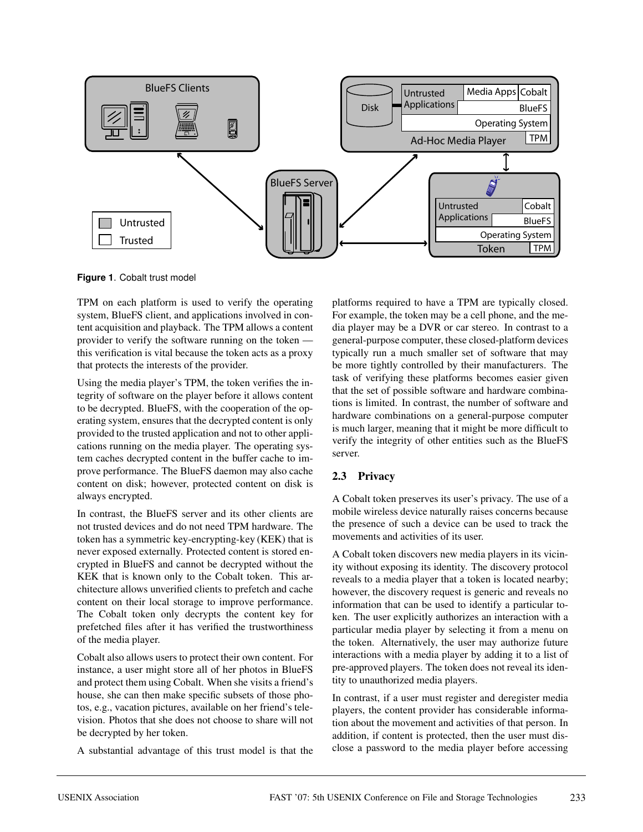

**Figure 1**. Cobalt trust model

TPM on each platform is used to verify the operating system, BlueFS client, and applications involved in content acquisition and playback. The TPM allows a content provider to verify the software running on the token this verification is vital because the token acts as a proxy that protects the interests of the provider.

Using the media player's TPM, the token verifies the integrity of software on the player before it allows content to be decrypted. BlueFS, with the cooperation of the operating system, ensures that the decrypted content is only provided to the trusted application and not to other applications running on the media player. The operating system caches decrypted content in the buffer cache to improve performance. The BlueFS daemon may also cache content on disk; however, protected content on disk is always encrypted.

In contrast, the BlueFS server and its other clients are not trusted devices and do not need TPM hardware. The token has a symmetric key-encrypting-key (KEK) that is never exposed externally. Protected content is stored encrypted in BlueFS and cannot be decrypted without the KEK that is known only to the Cobalt token. This architecture allows unverified clients to prefetch and cache content on their local storage to improve performance. The Cobalt token only decrypts the content key for prefetched files after it has verified the trustworthiness of the media player.

Cobalt also allows users to protect their own content. For instance, a user might store all of her photos in BlueFS and protect them using Cobalt. When she visits a friend's house, she can then make specific subsets of those photos, e.g., vacation pictures, available on her friend's television. Photos that she does not choose to share will not be decrypted by her token.

A substantial advantage of this trust model is that the

platforms required to have a TPM are typically closed. For example, the token may be a cell phone, and the media player may be a DVR or car stereo. In contrast to a general-purpose computer, these closed-platform devices typically run a much smaller set of software that may be more tightly controlled by their manufacturers. The task of verifying these platforms becomes easier given that the set of possible software and hardware combinations is limited. In contrast, the number of software and hardware combinations on a general-purpose computer is much larger, meaning that it might be more difficult to verify the integrity of other entities such as the BlueFS server.

# **2.3 Privacy**

A Cobalt token preserves its user's privacy. The use of a mobile wireless device naturally raises concerns because the presence of such a device can be used to track the movements and activities of its user.

A Cobalt token discovers new media players in its vicinity without exposing its identity. The discovery protocol reveals to a media player that a token is located nearby; however, the discovery request is generic and reveals no information that can be used to identify a particular token. The user explicitly authorizes an interaction with a particular media player by selecting it from a menu on the token. Alternatively, the user may authorize future interactions with a media player by adding it to a list of pre-approved players. The token does not reveal its identity to unauthorized media players.

In contrast, if a user must register and deregister media players, the content provider has considerable information about the movement and activities of that person. In addition, if content is protected, then the user must disclose a password to the media player before accessing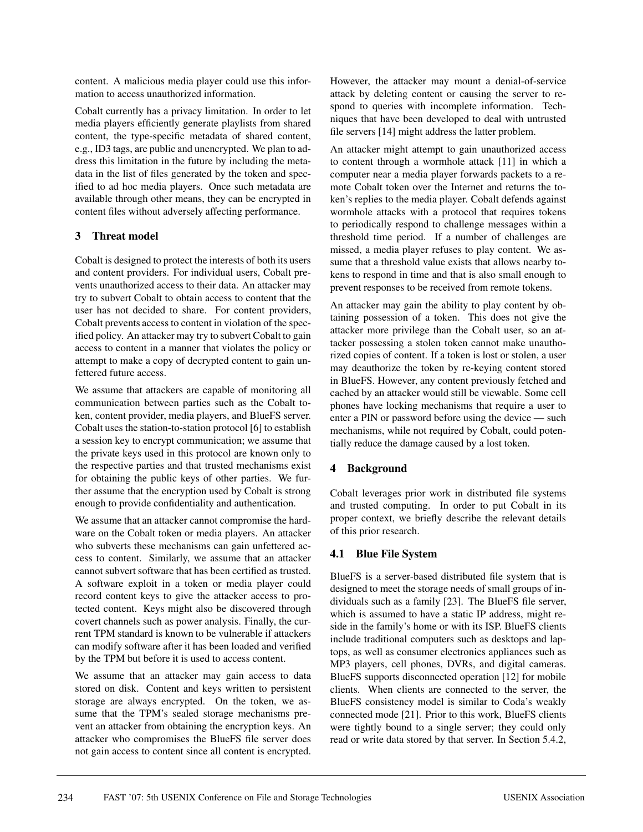content. A malicious media player could use this information to access unauthorized information.

Cobalt currently has a privacy limitation. In order to let media players efficiently generate playlists from shared content, the type-specific metadata of shared content, e.g., ID3 tags, are public and unencrypted. We plan to address this limitation in the future by including the metadata in the list of files generated by the token and specified to ad hoc media players. Once such metadata are available through other means, they can be encrypted in content files without adversely affecting performance.

## **3 Threat model**

Cobalt is designed to protect the interests of both its users and content providers. For individual users, Cobalt prevents unauthorized access to their data. An attacker may try to subvert Cobalt to obtain access to content that the user has not decided to share. For content providers, Cobalt prevents access to content in violation of the specified policy. An attacker may try to subvert Cobalt to gain access to content in a manner that violates the policy or attempt to make a copy of decrypted content to gain unfettered future access.

We assume that attackers are capable of monitoring all communication between parties such as the Cobalt token, content provider, media players, and BlueFS server. Cobalt uses the station-to-station protocol [6] to establish a session key to encrypt communication; we assume that the private keys used in this protocol are known only to the respective parties and that trusted mechanisms exist for obtaining the public keys of other parties. We further assume that the encryption used by Cobalt is strong enough to provide confidentiality and authentication.

We assume that an attacker cannot compromise the hardware on the Cobalt token or media players. An attacker who subverts these mechanisms can gain unfettered access to content. Similarly, we assume that an attacker cannot subvert software that has been certified as trusted. A software exploit in a token or media player could record content keys to give the attacker access to protected content. Keys might also be discovered through covert channels such as power analysis. Finally, the current TPM standard is known to be vulnerable if attackers can modify software after it has been loaded and verified by the TPM but before it is used to access content.

We assume that an attacker may gain access to data stored on disk. Content and keys written to persistent storage are always encrypted. On the token, we assume that the TPM's sealed storage mechanisms prevent an attacker from obtaining the encryption keys. An attacker who compromises the BlueFS file server does not gain access to content since all content is encrypted. However, the attacker may mount a denial-of-service attack by deleting content or causing the server to respond to queries with incomplete information. Techniques that have been developed to deal with untrusted file servers [14] might address the latter problem.

An attacker might attempt to gain unauthorized access to content through a wormhole attack [11] in which a computer near a media player forwards packets to a remote Cobalt token over the Internet and returns the token's replies to the media player. Cobalt defends against wormhole attacks with a protocol that requires tokens to periodically respond to challenge messages within a threshold time period. If a number of challenges are missed, a media player refuses to play content. We assume that a threshold value exists that allows nearby tokens to respond in time and that is also small enough to prevent responses to be received from remote tokens.

An attacker may gain the ability to play content by obtaining possession of a token. This does not give the attacker more privilege than the Cobalt user, so an attacker possessing a stolen token cannot make unauthorized copies of content. If a token is lost or stolen, a user may deauthorize the token by re-keying content stored in BlueFS. However, any content previously fetched and cached by an attacker would still be viewable. Some cell phones have locking mechanisms that require a user to enter a PIN or password before using the device — such mechanisms, while not required by Cobalt, could potentially reduce the damage caused by a lost token.

## **4 Background**

Cobalt leverages prior work in distributed file systems and trusted computing. In order to put Cobalt in its proper context, we briefly describe the relevant details of this prior research.

## **4.1 Blue File System**

BlueFS is a server-based distributed file system that is designed to meet the storage needs of small groups of individuals such as a family [23]. The BlueFS file server, which is assumed to have a static IP address, might reside in the family's home or with its ISP. BlueFS clients include traditional computers such as desktops and laptops, as well as consumer electronics appliances such as MP3 players, cell phones, DVRs, and digital cameras. BlueFS supports disconnected operation [12] for mobile clients. When clients are connected to the server, the BlueFS consistency model is similar to Coda's weakly connected mode [21]. Prior to this work, BlueFS clients were tightly bound to a single server; they could only read or write data stored by that server. In Section 5.4.2,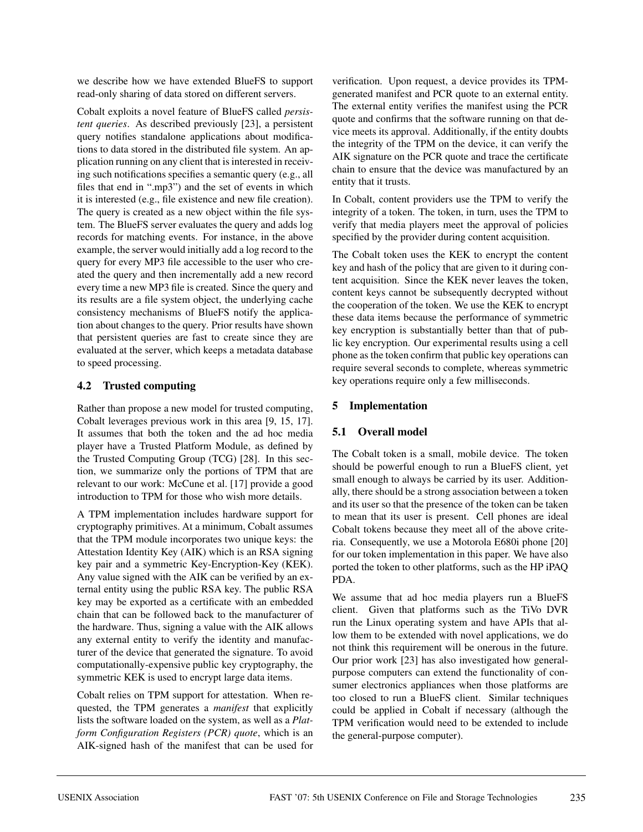we describe how we have extended BlueFS to support read-only sharing of data stored on different servers.

Cobalt exploits a novel feature of BlueFS called *persistent queries*. As described previously [23], a persistent query notifies standalone applications about modifications to data stored in the distributed file system. An application running on any client that is interested in receiving such notifications specifies a semantic query (e.g., all files that end in ".mp3") and the set of events in which it is interested (e.g., file existence and new file creation). The query is created as a new object within the file system. The BlueFS server evaluates the query and adds log records for matching events. For instance, in the above example, the server would initially add a log record to the query for every MP3 file accessible to the user who created the query and then incrementally add a new record every time a new MP3 file is created. Since the query and its results are a file system object, the underlying cache consistency mechanisms of BlueFS notify the application about changes to the query. Prior results have shown that persistent queries are fast to create since they are evaluated at the server, which keeps a metadata database to speed processing.

## **4.2 Trusted computing**

Rather than propose a new model for trusted computing, Cobalt leverages previous work in this area [9, 15, 17]. It assumes that both the token and the ad hoc media player have a Trusted Platform Module, as defined by the Trusted Computing Group (TCG) [28]. In this section, we summarize only the portions of TPM that are relevant to our work: McCune et al. [17] provide a good introduction to TPM for those who wish more details.

A TPM implementation includes hardware support for cryptography primitives. At a minimum, Cobalt assumes that the TPM module incorporates two unique keys: the Attestation Identity Key (AIK) which is an RSA signing key pair and a symmetric Key-Encryption-Key (KEK). Any value signed with the AIK can be verified by an external entity using the public RSA key. The public RSA key may be exported as a certificate with an embedded chain that can be followed back to the manufacturer of the hardware. Thus, signing a value with the AIK allows any external entity to verify the identity and manufacturer of the device that generated the signature. To avoid computationally-expensive public key cryptography, the symmetric KEK is used to encrypt large data items.

Cobalt relies on TPM support for attestation. When requested, the TPM generates a *manifest* that explicitly lists the software loaded on the system, as well as a *Platform Configuration Registers (PCR) quote*, which is an AIK-signed hash of the manifest that can be used for

verification. Upon request, a device provides its TPMgenerated manifest and PCR quote to an external entity. The external entity verifies the manifest using the PCR quote and confirms that the software running on that device meets its approval. Additionally, if the entity doubts the integrity of the TPM on the device, it can verify the AIK signature on the PCR quote and trace the certificate chain to ensure that the device was manufactured by an entity that it trusts.

In Cobalt, content providers use the TPM to verify the integrity of a token. The token, in turn, uses the TPM to verify that media players meet the approval of policies specified by the provider during content acquisition.

The Cobalt token uses the KEK to encrypt the content key and hash of the policy that are given to it during content acquisition. Since the KEK never leaves the token, content keys cannot be subsequently decrypted without the cooperation of the token. We use the KEK to encrypt these data items because the performance of symmetric key encryption is substantially better than that of public key encryption. Our experimental results using a cell phone as the token confirm that public key operations can require several seconds to complete, whereas symmetric key operations require only a few milliseconds.

# **5 Implementation**

# **5.1 Overall model**

The Cobalt token is a small, mobile device. The token should be powerful enough to run a BlueFS client, yet small enough to always be carried by its user. Additionally, there should be a strong association between a token and its user so that the presence of the token can be taken to mean that its user is present. Cell phones are ideal Cobalt tokens because they meet all of the above criteria. Consequently, we use a Motorola E680i phone [20] for our token implementation in this paper. We have also ported the token to other platforms, such as the HP iPAQ PDA.

We assume that ad hoc media players run a BlueFS client. Given that platforms such as the TiVo DVR run the Linux operating system and have APIs that allow them to be extended with novel applications, we do not think this requirement will be onerous in the future. Our prior work [23] has also investigated how generalpurpose computers can extend the functionality of consumer electronics appliances when those platforms are too closed to run a BlueFS client. Similar techniques could be applied in Cobalt if necessary (although the TPM verification would need to be extended to include the general-purpose computer).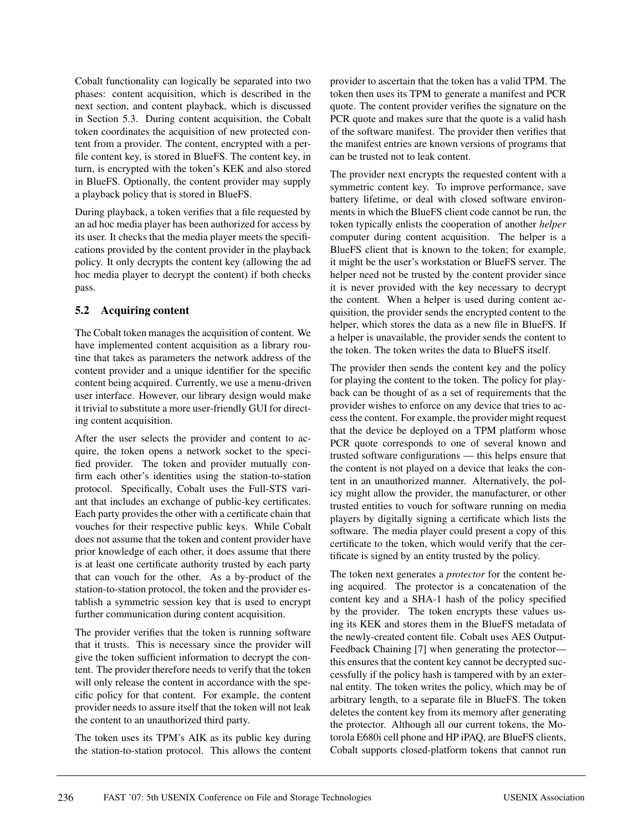Cobalt functionality can logically be separated into two phases: content acquisition, which is described in the next section, and content playback, which is discussed in Section 5.3. During content acquisition, the Cobalt token coordinates the acquisition of new protected content from a provider. The content, encrypted with a perfile content key, is stored in BlueFS. The content key, in turn, is encrypted with the token's KEK and also stored in BlueFS. Optionally, the content provider may supply a playback policy that is stored in BlueFS.

During playback, a token verifies that a file requested by an ad hoc media player has been authorized for access by its user. It checks that the media player meets the specifications provided by the content provider in the playback policy. It only decrypts the content key (allowing the ad hoc media player to decrypt the content) if both checks pass.

## **5.2 Acquiring content**

The Cobalt token manages the acquisition of content. We have implemented content acquisition as a library routine that takes as parameters the network address of the content provider and a unique identifier for the specific content being acquired. Currently, we use a menu-driven user interface. However, our library design would make it trivial to substitute a more user-friendly GUI for directing content acquisition.

After the user selects the provider and content to acquire, the token opens a network socket to the specified provider. The token and provider mutually confirm each other's identities using the station-to-station protocol. Specifically, Cobalt uses the Full-STS variant that includes an exchange of public-key certificates. Each party provides the other with a certificate chain that vouches for their respective public keys. While Cobalt does not assume that the token and content provider have prior knowledge of each other, it does assume that there is at least one certificate authority trusted by each party that can vouch for the other. As a by-product of the station-to-station protocol, the token and the provider establish a symmetric session key that is used to encrypt further communication during content acquisition.

The provider verifies that the token is running software that it trusts. This is necessary since the provider will give the token sufficient information to decrypt the content. The provider therefore needs to verify that the token will only release the content in accordance with the specific policy for that content. For example, the content provider needs to assure itself that the token will not leak the content to an unauthorized third party.

The token uses its TPM's AIK as its public key during the station-to-station protocol. This allows the content provider to ascertain that the token has a valid TPM. The token then uses its TPM to generate a manifest and PCR quote. The content provider verifies the signature on the PCR quote and makes sure that the quote is a valid hash of the software manifest. The provider then verifies that the manifest entries are known versions of programs that can be trusted not to leak content.

The provider next encrypts the requested content with a symmetric content key. To improve performance, save battery lifetime, or deal with closed software environments in which the BlueFS client code cannot be run, the token typically enlists the cooperation of another *helper* computer during content acquisition. The helper is a BlueFS client that is known to the token; for example, it might be the user's workstation or BlueFS server. The helper need not be trusted by the content provider since it is never provided with the key necessary to decrypt the content. When a helper is used during content acquisition, the provider sends the encrypted content to the helper, which stores the data as a new file in BlueFS. If a helper is unavailable, the provider sends the content to the token. The token writes the data to BlueFS itself.

The provider then sends the content key and the policy for playing the content to the token. The policy for playback can be thought of as a set of requirements that the provider wishes to enforce on any device that tries to access the content. For example, the provider might request that the device be deployed on a TPM platform whose PCR quote corresponds to one of several known and trusted software configurations — this helps ensure that the content is not played on a device that leaks the content in an unauthorized manner. Alternatively, the policy might allow the provider, the manufacturer, or other trusted entities to vouch for software running on media players by digitally signing a certificate which lists the software. The media player could present a copy of this certificate to the token, which would verify that the certificate is signed by an entity trusted by the policy.

The token next generates a *protector* for the content being acquired. The protector is a concatenation of the content key and a SHA-1 hash of the policy specified by the provider. The token encrypts these values using its KEK and stores them in the BlueFS metadata of the newly-created content file. Cobalt uses AES Output-Feedback Chaining [7] when generating the protector this ensures that the content key cannot be decrypted successfully if the policy hash is tampered with by an external entity. The token writes the policy, which may be of arbitrary length, to a separate file in BlueFS. The token deletes the content key from its memory after generating the protector. Although all our current tokens, the Motorola E680i cell phone and HP iPAQ, are BlueFS clients, Cobalt supports closed-platform tokens that cannot run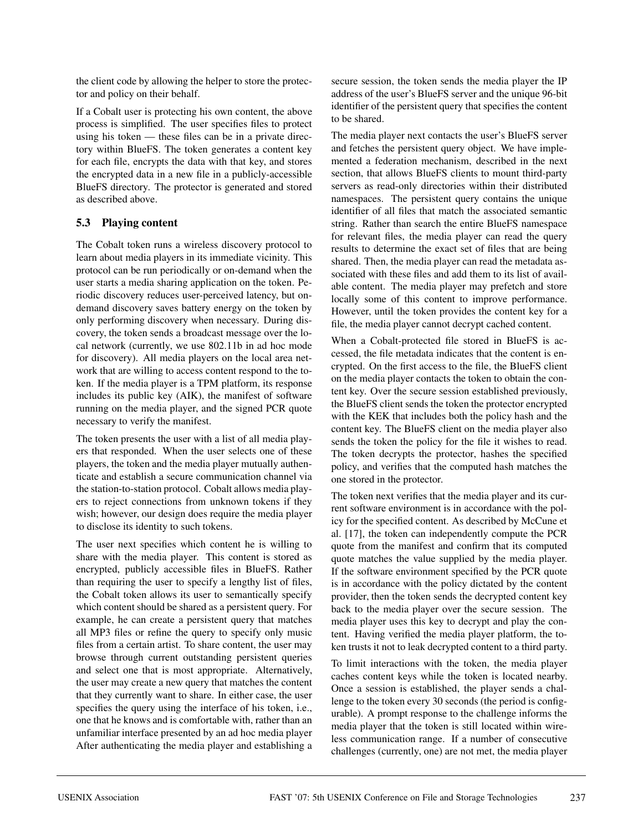the client code by allowing the helper to store the protector and policy on their behalf.

If a Cobalt user is protecting his own content, the above process is simplified. The user specifies files to protect using his token — these files can be in a private directory within BlueFS. The token generates a content key for each file, encrypts the data with that key, and stores the encrypted data in a new file in a publicly-accessible BlueFS directory. The protector is generated and stored as described above.

## **5.3 Playing content**

The Cobalt token runs a wireless discovery protocol to learn about media players in its immediate vicinity. This protocol can be run periodically or on-demand when the user starts a media sharing application on the token. Periodic discovery reduces user-perceived latency, but ondemand discovery saves battery energy on the token by only performing discovery when necessary. During discovery, the token sends a broadcast message over the local network (currently, we use 802.11b in ad hoc mode for discovery). All media players on the local area network that are willing to access content respond to the token. If the media player is a TPM platform, its response includes its public key (AIK), the manifest of software running on the media player, and the signed PCR quote necessary to verify the manifest.

The token presents the user with a list of all media players that responded. When the user selects one of these players, the token and the media player mutually authenticate and establish a secure communication channel via the station-to-station protocol. Cobalt allows media players to reject connections from unknown tokens if they wish; however, our design does require the media player to disclose its identity to such tokens.

The user next specifies which content he is willing to share with the media player. This content is stored as encrypted, publicly accessible files in BlueFS. Rather than requiring the user to specify a lengthy list of files, the Cobalt token allows its user to semantically specify which content should be shared as a persistent query. For example, he can create a persistent query that matches all MP3 files or refine the query to specify only music files from a certain artist. To share content, the user may browse through current outstanding persistent queries and select one that is most appropriate. Alternatively, the user may create a new query that matches the content that they currently want to share. In either case, the user specifies the query using the interface of his token, i.e., one that he knows and is comfortable with, rather than an unfamiliar interface presented by an ad hoc media player After authenticating the media player and establishing a

secure session, the token sends the media player the IP address of the user's BlueFS server and the unique 96-bit identifier of the persistent query that specifies the content to be shared.

The media player next contacts the user's BlueFS server and fetches the persistent query object. We have implemented a federation mechanism, described in the next section, that allows BlueFS clients to mount third-party servers as read-only directories within their distributed namespaces. The persistent query contains the unique identifier of all files that match the associated semantic string. Rather than search the entire BlueFS namespace for relevant files, the media player can read the query results to determine the exact set of files that are being shared. Then, the media player can read the metadata associated with these files and add them to its list of available content. The media player may prefetch and store locally some of this content to improve performance. However, until the token provides the content key for a file, the media player cannot decrypt cached content.

When a Cobalt-protected file stored in BlueFS is accessed, the file metadata indicates that the content is encrypted. On the first access to the file, the BlueFS client on the media player contacts the token to obtain the content key. Over the secure session established previously, the BlueFS client sends the token the protector encrypted with the KEK that includes both the policy hash and the content key. The BlueFS client on the media player also sends the token the policy for the file it wishes to read. The token decrypts the protector, hashes the specified policy, and verifies that the computed hash matches the one stored in the protector.

The token next verifies that the media player and its current software environment is in accordance with the policy for the specified content. As described by McCune et al. [17], the token can independently compute the PCR quote from the manifest and confirm that its computed quote matches the value supplied by the media player. If the software environment specified by the PCR quote is in accordance with the policy dictated by the content provider, then the token sends the decrypted content key back to the media player over the secure session. The media player uses this key to decrypt and play the content. Having verified the media player platform, the token trusts it not to leak decrypted content to a third party.

To limit interactions with the token, the media player caches content keys while the token is located nearby. Once a session is established, the player sends a challenge to the token every 30 seconds (the period is configurable). A prompt response to the challenge informs the media player that the token is still located within wireless communication range. If a number of consecutive challenges (currently, one) are not met, the media player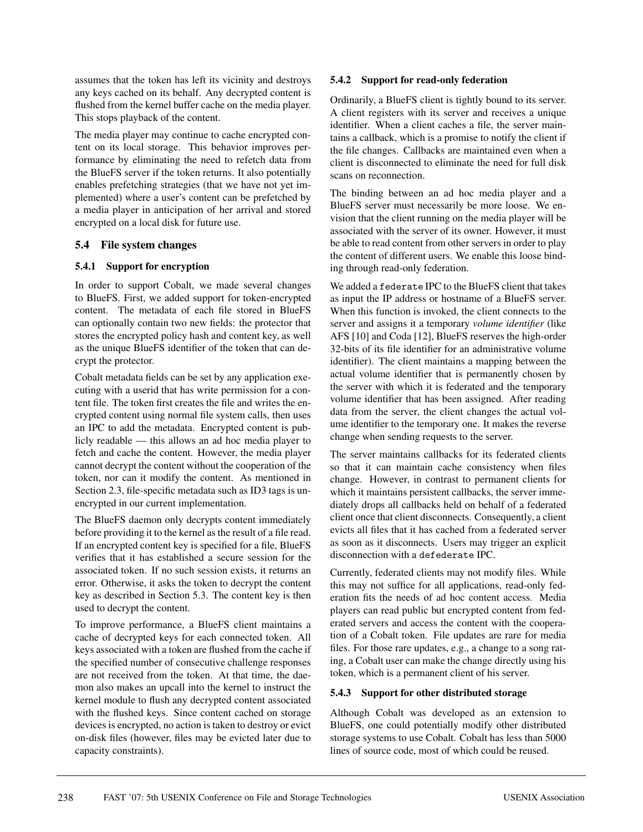assumes that the token has left its vicinity and destroys any keys cached on its behalf. Any decrypted content is flushed from the kernel buffer cache on the media player. This stops playback of the content.

The media player may continue to cache encrypted content on its local storage. This behavior improves performance by eliminating the need to refetch data from the BlueFS server if the token returns. It also potentially enables prefetching strategies (that we have not yet implemented) where a user's content can be prefetched by a media player in anticipation of her arrival and stored encrypted on a local disk for future use.

### **5.4 File system changes**

### **5.4.1 Support for encryption**

In order to support Cobalt, we made several changes to BlueFS. First, we added support for token-encrypted content. The metadata of each file stored in BlueFS can optionally contain two new fields: the protector that stores the encrypted policy hash and content key, as well as the unique BlueFS identifier of the token that can decrypt the protector.

Cobalt metadata fields can be set by any application executing with a userid that has write permission for a content file. The token first creates the file and writes the encrypted content using normal file system calls, then uses an IPC to add the metadata. Encrypted content is publicly readable — this allows an ad hoc media player to fetch and cache the content. However, the media player cannot decrypt the content without the cooperation of the token, nor can it modify the content. As mentioned in Section 2.3, file-specific metadata such as ID3 tags is unencrypted in our current implementation.

The BlueFS daemon only decrypts content immediately before providing it to the kernel as the result of a file read. If an encrypted content key is specified for a file, BlueFS verifies that it has established a secure session for the associated token. If no such session exists, it returns an error. Otherwise, it asks the token to decrypt the content key as described in Section 5.3. The content key is then used to decrypt the content.

To improve performance, a BlueFS client maintains a cache of decrypted keys for each connected token. All keys associated with a token are flushed from the cache if the specified number of consecutive challenge responses are not received from the token. At that time, the daemon also makes an upcall into the kernel to instruct the kernel module to flush any decrypted content associated with the flushed keys. Since content cached on storage devices is encrypted, no action is taken to destroy or evict on-disk files (however, files may be evicted later due to capacity constraints).

#### **5.4.2 Support for read-only federation**

Ordinarily, a BlueFS client is tightly bound to its server. A client registers with its server and receives a unique identifier. When a client caches a file, the server maintains a callback, which is a promise to notify the client if the file changes. Callbacks are maintained even when a client is disconnected to eliminate the need for full disk scans on reconnection.

The binding between an ad hoc media player and a BlueFS server must necessarily be more loose. We envision that the client running on the media player will be associated with the server of its owner. However, it must be able to read content from other servers in order to play the content of different users. We enable this loose binding through read-only federation.

We added a federate IPC to the BlueFS client that takes as input the IP address or hostname of a BlueFS server. When this function is invoked, the client connects to the server and assigns it a temporary *volume identifier* (like AFS [10] and Coda [12], BlueFS reserves the high-order 32-bits of its file identifier for an administrative volume identifier). The client maintains a mapping between the actual volume identifier that is permanently chosen by the server with which it is federated and the temporary volume identifier that has been assigned. After reading data from the server, the client changes the actual volume identifier to the temporary one. It makes the reverse change when sending requests to the server.

The server maintains callbacks for its federated clients so that it can maintain cache consistency when files change. However, in contrast to permanent clients for which it maintains persistent callbacks, the server immediately drops all callbacks held on behalf of a federated client once that client disconnects. Consequently, a client evicts all files that it has cached from a federated server as soon as it disconnects. Users may trigger an explicit disconnection with a defederate IPC.

Currently, federated clients may not modify files. While this may not suffice for all applications, read-only federation fits the needs of ad hoc content access. Media players can read public but encrypted content from federated servers and access the content with the cooperation of a Cobalt token. File updates are rare for media files. For those rare updates, e.g., a change to a song rating, a Cobalt user can make the change directly using his token, which is a permanent client of his server.

#### **5.4.3 Support for other distributed storage**

Although Cobalt was developed as an extension to BlueFS, one could potentially modify other distributed storage systems to use Cobalt. Cobalt has less than 5000 lines of source code, most of which could be reused.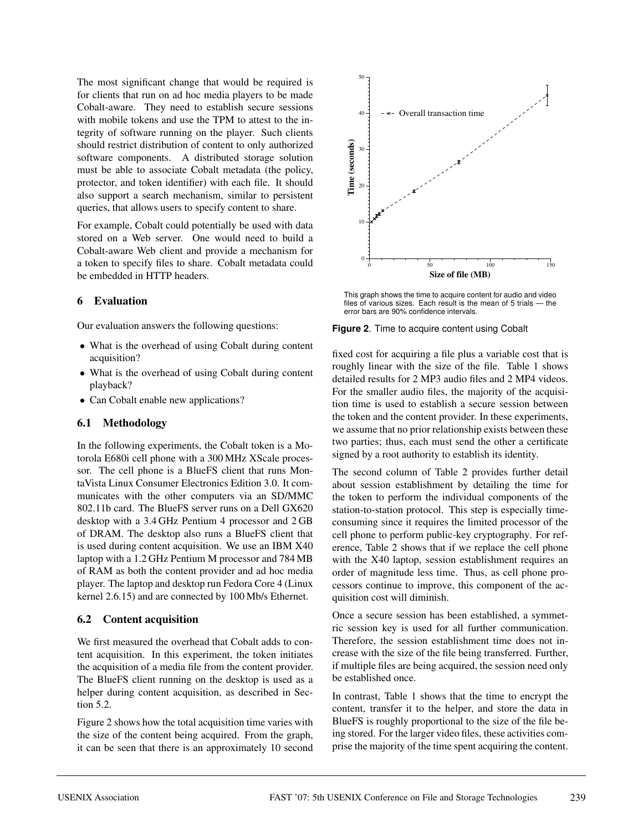The most significant change that would be required is for clients that run on ad hoc media players to be made Cobalt-aware. They need to establish secure sessions with mobile tokens and use the TPM to attest to the integrity of software running on the player. Such clients should restrict distribution of content to only authorized software components. A distributed storage solution must be able to associate Cobalt metadata (the policy, protector, and token identifier) with each file. It should also support a search mechanism, similar to persistent queries, that allows users to specify content to share.

For example, Cobalt could potentially be used with data stored on a Web server. One would need to build a Cobalt-aware Web client and provide a mechanism for a token to specify files to share. Cobalt metadata could be embedded in HTTP headers.

### **6 Evaluation**

Our evaluation answers the following questions:

- What is the overhead of using Cobalt during content acquisition?
- What is the overhead of using Cobalt during content playback?
- Can Cobalt enable new applications?

#### **6.1 Methodology**

In the following experiments, the Cobalt token is a Motorola E680i cell phone with a 300 MHz XScale processor. The cell phone is a BlueFS client that runs MontaVista Linux Consumer Electronics Edition 3.0. It communicates with the other computers via an SD/MMC 802.11b card. The BlueFS server runs on a Dell GX620 desktop with a 3.4 GHz Pentium 4 processor and 2 GB of DRAM. The desktop also runs a BlueFS client that is used during content acquisition. We use an IBM X40 laptop with a 1.2 GHz Pentium M processor and 784 MB of RAM as both the content provider and ad hoc media player. The laptop and desktop run Fedora Core 4 (Linux kernel 2.6.15) and are connected by 100 Mb/s Ethernet.

#### **6.2 Content acquisition**

We first measured the overhead that Cobalt adds to content acquisition. In this experiment, the token initiates the acquisition of a media file from the content provider. The BlueFS client running on the desktop is used as a helper during content acquisition, as described in Section 5.2.

Figure 2 shows how the total acquisition time varies with the size of the content being acquired. From the graph, it can be seen that there is an approximately 10 second



This graph shows the time to acquire content for audio and video files of various sizes. Each result is the mean of 5 trials — the error bars are 90% confidence intervals.

#### **Figure 2**. Time to acquire content using Cobalt

fixed cost for acquiring a file plus a variable cost that is roughly linear with the size of the file. Table 1 shows detailed results for 2 MP3 audio files and 2 MP4 videos. For the smaller audio files, the majority of the acquisition time is used to establish a secure session between the token and the content provider. In these experiments, we assume that no prior relationship exists between these two parties; thus, each must send the other a certificate signed by a root authority to establish its identity.

The second column of Table 2 provides further detail about session establishment by detailing the time for the token to perform the individual components of the station-to-station protocol. This step is especially timeconsuming since it requires the limited processor of the cell phone to perform public-key cryptography. For reference, Table 2 shows that if we replace the cell phone with the X40 laptop, session establishment requires an order of magnitude less time. Thus, as cell phone processors continue to improve, this component of the acquisition cost will diminish.

Once a secure session has been established, a symmetric session key is used for all further communication. Therefore, the session establishment time does not increase with the size of the file being transferred. Further, if multiple files are being acquired, the session need only be established once.

In contrast, Table 1 shows that the time to encrypt the content, transfer it to the helper, and store the data in BlueFS is roughly proportional to the size of the file being stored. For the larger video files, these activities comprise the majority of the time spent acquiring the content.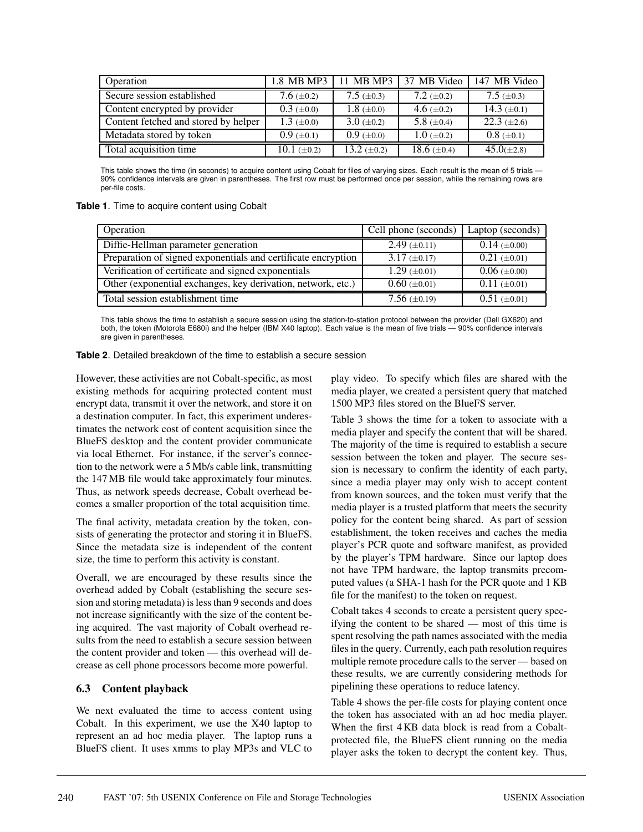| Operation                            | 1.8 MB MP3        | 11 MB MP3         | 37 MB Video       | 147 MB Video     |
|--------------------------------------|-------------------|-------------------|-------------------|------------------|
| Secure session established           | 7.6 $(\pm 0.2)$   | 7.5 $(\pm 0.3)$   | 7.2 $(\pm 0.2)$   | 7.5 $(\pm 0.3)$  |
| Content encrypted by provider        | $0.3~(\pm 0.0)$   | 1.8 $(\pm 0.0)$   | 4.6 $(\pm 0.2)$   | 14.3 $(\pm 0.1)$ |
| Content fetched and stored by helper | 1.3 $(\pm 0.0)$   | $3.0 \ (\pm 0.2)$ | 5.8 $(\pm 0.4)$   | 22.3 $(\pm 2.6)$ |
| Metadata stored by token             | $0.9 \ (\pm 0.1)$ | $0.9~(\pm 0.0)$   | $1.0 \ (\pm 0.2)$ | $0.8~(\pm 0.1)$  |
| Total acquisition time               | 10.1 $(\pm 0.2)$  | 13.2 $(\pm 0.2)$  | 18.6 $(\pm 0.4)$  | $45.0(\pm 2.8)$  |

This table shows the time (in seconds) to acquire content using Cobalt for files of varying sizes. Each result is the mean of 5 trials -90% confidence intervals are given in parentheses. The first row must be performed once per session, while the remaining rows are per-file costs.

**Table 1**. Time to acquire content using Cobalt

| Operation                                                     | Cell phone (seconds) | Laptop (seconds)    |
|---------------------------------------------------------------|----------------------|---------------------|
| Diffie-Hellman parameter generation                           | $2.49 \ (\pm 0.11)$  | $0.14 \ (\pm 0.00)$ |
| Preparation of signed exponentials and certificate encryption | $3.17 \ (\pm 0.17)$  | $0.21 (\pm 0.01)$   |
| Verification of certificate and signed exponentials           | $1.29 \ (\pm 0.01)$  | $0.06~(\pm 0.00)$   |
| Other (exponential exchanges, key derivation, network, etc.)  | $0.60 \ (\pm 0.01)$  | $0.11 \ (\pm 0.01)$ |
| Total session establishment time                              | 7.56 $(\pm 0.19)$    | $0.51 (\pm 0.01)$   |

This table shows the time to establish a secure session using the station-to-station protocol between the provider (Dell GX620) and both, the token (Motorola E680i) and the helper (IBM X40 laptop). Each value is the mean of five trials — 90% confidence intervals are given in parentheses.

**Table 2**. Detailed breakdown of the time to establish a secure session

However, these activities are not Cobalt-specific, as most existing methods for acquiring protected content must encrypt data, transmit it over the network, and store it on a destination computer. In fact, this experiment underestimates the network cost of content acquisition since the BlueFS desktop and the content provider communicate via local Ethernet. For instance, if the server's connection to the network were a 5 Mb/s cable link, transmitting the 147 MB file would take approximately four minutes. Thus, as network speeds decrease, Cobalt overhead becomes a smaller proportion of the total acquisition time.

The final activity, metadata creation by the token, consists of generating the protector and storing it in BlueFS. Since the metadata size is independent of the content size, the time to perform this activity is constant.

Overall, we are encouraged by these results since the overhead added by Cobalt (establishing the secure session and storing metadata) is less than 9 seconds and does not increase significantly with the size of the content being acquired. The vast majority of Cobalt overhead results from the need to establish a secure session between the content provider and token — this overhead will decrease as cell phone processors become more powerful.

## **6.3 Content playback**

We next evaluated the time to access content using Cobalt. In this experiment, we use the X40 laptop to represent an ad hoc media player. The laptop runs a BlueFS client. It uses xmms to play MP3s and VLC to

play video. To specify which files are shared with the media player, we created a persistent query that matched 1500 MP3 files stored on the BlueFS server.

Table 3 shows the time for a token to associate with a media player and specify the content that will be shared. The majority of the time is required to establish a secure session between the token and player. The secure session is necessary to confirm the identity of each party, since a media player may only wish to accept content from known sources, and the token must verify that the media player is a trusted platform that meets the security policy for the content being shared. As part of session establishment, the token receives and caches the media player's PCR quote and software manifest, as provided by the player's TPM hardware. Since our laptop does not have TPM hardware, the laptop transmits precomputed values (a SHA-1 hash for the PCR quote and 1 KB file for the manifest) to the token on request.

Cobalt takes 4 seconds to create a persistent query specifying the content to be shared — most of this time is spent resolving the path names associated with the media files in the query. Currently, each path resolution requires multiple remote procedure calls to the server — based on these results, we are currently considering methods for pipelining these operations to reduce latency.

Table 4 shows the per-file costs for playing content once the token has associated with an ad hoc media player. When the first 4 KB data block is read from a Cobaltprotected file, the BlueFS client running on the media player asks the token to decrypt the content key. Thus,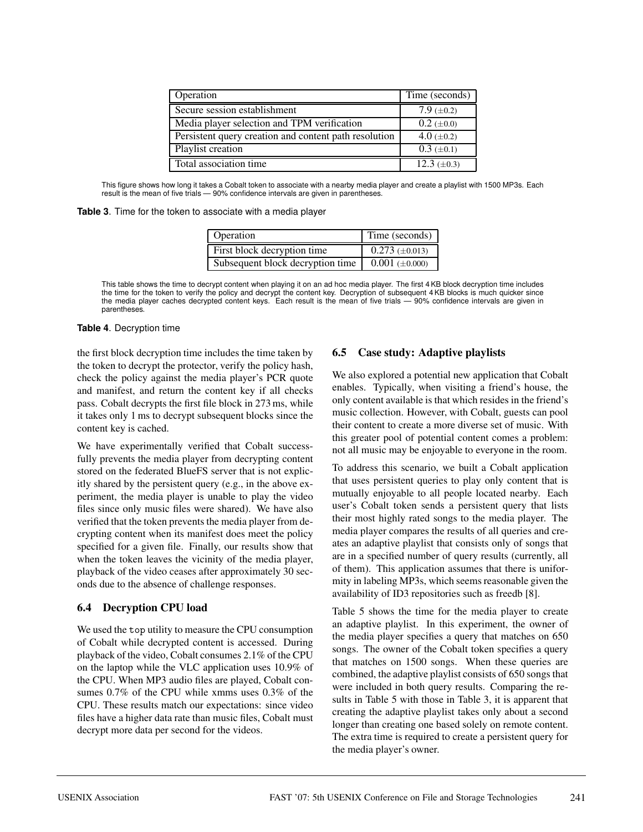| Operation                                             | Time (seconds)    |
|-------------------------------------------------------|-------------------|
| Secure session establishment                          | 7.9 $(\pm 0.2)$   |
| Media player selection and TPM verification           | $0.2 \ (\pm 0.0)$ |
| Persistent query creation and content path resolution | 4.0 ( $\pm$ 0.2)  |
| Playlist creation                                     | $0.3 \ (\pm 0.1)$ |
| Total association time                                | 12.3 $(\pm 0.3)$  |

This figure shows how long it takes a Cobalt token to associate with a nearby media player and create a playlist with 1500 MP3s. Each result is the mean of five trials — 90% confidence intervals are given in parentheses.

|  |  |  |  | Table 3. Time for the token to associate with a media player |  |  |
|--|--|--|--|--------------------------------------------------------------|--|--|
|--|--|--|--|--------------------------------------------------------------|--|--|

| Operation                        | Time (seconds)          |
|----------------------------------|-------------------------|
| First block decryption time      | $0.273 \ (\pm 0.013)$   |
| Subsequent block decryption time | $0.001$ ( $\pm 0.000$ ) |

This table shows the time to decrypt content when playing it on an ad hoc media player. The first 4 KB block decryption time includes the time for the token to verify the policy and decrypt the content key. Decryption of subsequent 4 KB blocks is much quicker since the media player caches decrypted content keys. Each result is the mean of five trials — 90% confidence intervals are given in parentheses.

#### **Table 4**. Decryption time

the first block decryption time includes the time taken by the token to decrypt the protector, verify the policy hash, check the policy against the media player's PCR quote and manifest, and return the content key if all checks pass. Cobalt decrypts the first file block in 273 ms, while it takes only 1 ms to decrypt subsequent blocks since the content key is cached.

We have experimentally verified that Cobalt successfully prevents the media player from decrypting content stored on the federated BlueFS server that is not explicitly shared by the persistent query (e.g., in the above experiment, the media player is unable to play the video files since only music files were shared). We have also verified that the token prevents the media player from decrypting content when its manifest does meet the policy specified for a given file. Finally, our results show that when the token leaves the vicinity of the media player, playback of the video ceases after approximately 30 seconds due to the absence of challenge responses.

## **6.4 Decryption CPU load**

We used the top utility to measure the CPU consumption of Cobalt while decrypted content is accessed. During playback of the video, Cobalt consumes 2.1% of the CPU on the laptop while the VLC application uses 10.9% of the CPU. When MP3 audio files are played, Cobalt consumes 0.7% of the CPU while xmms uses 0.3% of the CPU. These results match our expectations: since video files have a higher data rate than music files, Cobalt must decrypt more data per second for the videos.

# **6.5 Case study: Adaptive playlists**

We also explored a potential new application that Cobalt enables. Typically, when visiting a friend's house, the only content available is that which resides in the friend's music collection. However, with Cobalt, guests can pool their content to create a more diverse set of music. With this greater pool of potential content comes a problem: not all music may be enjoyable to everyone in the room.

To address this scenario, we built a Cobalt application that uses persistent queries to play only content that is mutually enjoyable to all people located nearby. Each user's Cobalt token sends a persistent query that lists their most highly rated songs to the media player. The media player compares the results of all queries and creates an adaptive playlist that consists only of songs that are in a specified number of query results (currently, all of them). This application assumes that there is uniformity in labeling MP3s, which seems reasonable given the availability of ID3 repositories such as freedb [8].

Table 5 shows the time for the media player to create an adaptive playlist. In this experiment, the owner of the media player specifies a query that matches on 650 songs. The owner of the Cobalt token specifies a query that matches on 1500 songs. When these queries are combined, the adaptive playlist consists of 650 songs that were included in both query results. Comparing the results in Table 5 with those in Table 3, it is apparent that creating the adaptive playlist takes only about a second longer than creating one based solely on remote content. The extra time is required to create a persistent query for the media player's owner.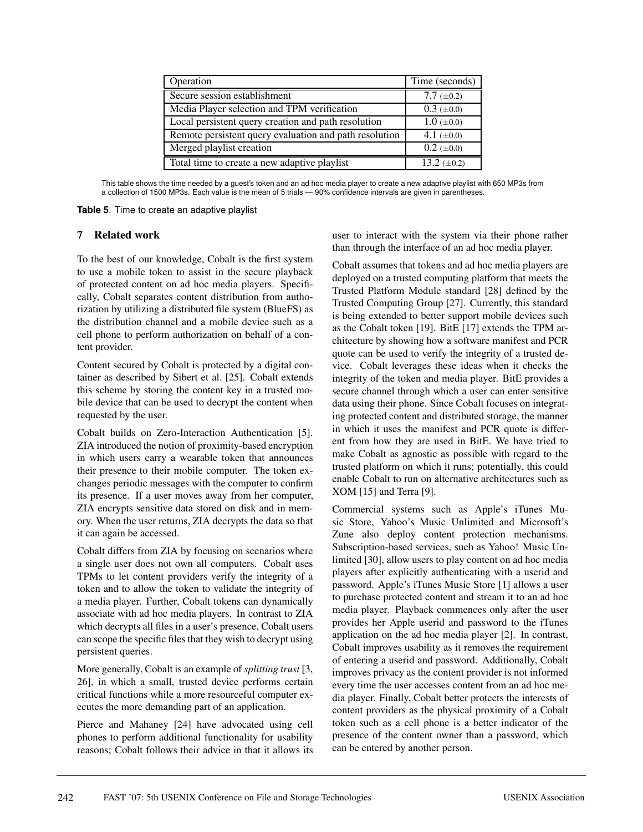| Operation                                              | Time (seconds)           |
|--------------------------------------------------------|--------------------------|
| Secure session establishment                           | 7.7 $(\pm 0.2)$          |
| Media Player selection and TPM verification            | $0.3~(\pm 0.0)$          |
| Local persistent query creation and path resolution    | $1.0 \ (\pm 0.0)$        |
| Remote persistent query evaluation and path resolution | 4.1 $(\pm 0.0)$          |
| Merged playlist creation                               | $0.2~(\pm 0.0)$          |
| Total time to create a new adaptive playlist           | $\overline{13.2}$ (±0.2) |

This table shows the time needed by a guest's token and an ad hoc media player to create a new adaptive playlist with 650 MP3s from a collection of 1500 MP3s. Each value is the mean of 5 trials — 90% confidence intervals are given in parentheses.

**Table 5**. Time to create an adaptive playlist

#### **7 Related work**

To the best of our knowledge, Cobalt is the first system to use a mobile token to assist in the secure playback of protected content on ad hoc media players. Specifically, Cobalt separates content distribution from authorization by utilizing a distributed file system (BlueFS) as the distribution channel and a mobile device such as a cell phone to perform authorization on behalf of a content provider.

Content secured by Cobalt is protected by a digital container as described by Sibert et al. [25]. Cobalt extends this scheme by storing the content key in a trusted mobile device that can be used to decrypt the content when requested by the user.

Cobalt builds on Zero-Interaction Authentication [5]. ZIA introduced the notion of proximity-based encryption in which users carry a wearable token that announces their presence to their mobile computer. The token exchanges periodic messages with the computer to confirm its presence. If a user moves away from her computer, ZIA encrypts sensitive data stored on disk and in memory. When the user returns, ZIA decrypts the data so that it can again be accessed.

Cobalt differs from ZIA by focusing on scenarios where a single user does not own all computers. Cobalt uses TPMs to let content providers verify the integrity of a token and to allow the token to validate the integrity of a media player. Further, Cobalt tokens can dynamically associate with ad hoc media players. In contrast to ZIA which decrypts all files in a user's presence, Cobalt users can scope the specific files that they wish to decrypt using persistent queries.

More generally, Cobalt is an example of *splitting trust* [3, 26], in which a small, trusted device performs certain critical functions while a more resourceful computer executes the more demanding part of an application.

Pierce and Mahaney [24] have advocated using cell phones to perform additional functionality for usability reasons; Cobalt follows their advice in that it allows its user to interact with the system via their phone rather than through the interface of an ad hoc media player.

Cobalt assumes that tokens and ad hoc media players are deployed on a trusted computing platform that meets the Trusted Platform Module standard [28] defined by the Trusted Computing Group [27]. Currently, this standard is being extended to better support mobile devices such as the Cobalt token [19]. BitE [17] extends the TPM architecture by showing how a software manifest and PCR quote can be used to verify the integrity of a trusted device. Cobalt leverages these ideas when it checks the integrity of the token and media player. BitE provides a secure channel through which a user can enter sensitive data using their phone. Since Cobalt focuses on integrating protected content and distributed storage, the manner in which it uses the manifest and PCR quote is different from how they are used in BitE. We have tried to make Cobalt as agnostic as possible with regard to the trusted platform on which it runs; potentially, this could enable Cobalt to run on alternative architectures such as XOM [15] and Terra [9].

Commercial systems such as Apple's iTunes Music Store, Yahoo's Music Unlimited and Microsoft's Zune also deploy content protection mechanisms. Subscription-based services, such as Yahoo! Music Unlimited [30], allow users to play content on ad hoc media players after explicitly authenticating with a userid and password. Apple's iTunes Music Store [1] allows a user to purchase protected content and stream it to an ad hoc media player. Playback commences only after the user provides her Apple userid and password to the iTunes application on the ad hoc media player [2]. In contrast, Cobalt improves usability as it removes the requirement of entering a userid and password. Additionally, Cobalt improves privacy as the content provider is not informed every time the user accesses content from an ad hoc media player. Finally, Cobalt better protects the interests of content providers as the physical proximity of a Cobalt token such as a cell phone is a better indicator of the presence of the content owner than a password, which can be entered by another person.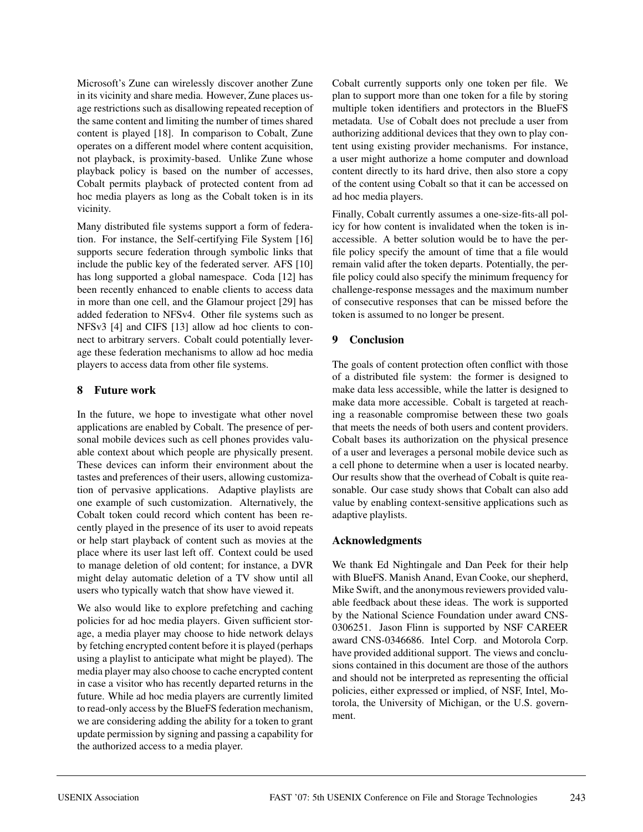Microsoft's Zune can wirelessly discover another Zune in its vicinity and share media. However, Zune places usage restrictions such as disallowing repeated reception of the same content and limiting the number of times shared content is played [18]. In comparison to Cobalt, Zune operates on a different model where content acquisition, not playback, is proximity-based. Unlike Zune whose playback policy is based on the number of accesses, Cobalt permits playback of protected content from ad hoc media players as long as the Cobalt token is in its vicinity.

Many distributed file systems support a form of federation. For instance, the Self-certifying File System [16] supports secure federation through symbolic links that include the public key of the federated server. AFS [10] has long supported a global namespace. Coda [12] has been recently enhanced to enable clients to access data in more than one cell, and the Glamour project [29] has added federation to NFSv4. Other file systems such as NFSv3 [4] and CIFS [13] allow ad hoc clients to connect to arbitrary servers. Cobalt could potentially leverage these federation mechanisms to allow ad hoc media players to access data from other file systems.

### **8 Future work**

In the future, we hope to investigate what other novel applications are enabled by Cobalt. The presence of personal mobile devices such as cell phones provides valuable context about which people are physically present. These devices can inform their environment about the tastes and preferences of their users, allowing customization of pervasive applications. Adaptive playlists are one example of such customization. Alternatively, the Cobalt token could record which content has been recently played in the presence of its user to avoid repeats or help start playback of content such as movies at the place where its user last left off. Context could be used to manage deletion of old content; for instance, a DVR might delay automatic deletion of a TV show until all users who typically watch that show have viewed it.

We also would like to explore prefetching and caching policies for ad hoc media players. Given sufficient storage, a media player may choose to hide network delays by fetching encrypted content before it is played (perhaps using a playlist to anticipate what might be played). The media player may also choose to cache encrypted content in case a visitor who has recently departed returns in the future. While ad hoc media players are currently limited to read-only access by the BlueFS federation mechanism, we are considering adding the ability for a token to grant update permission by signing and passing a capability for the authorized access to a media player.

Cobalt currently supports only one token per file. We plan to support more than one token for a file by storing multiple token identifiers and protectors in the BlueFS metadata. Use of Cobalt does not preclude a user from authorizing additional devices that they own to play content using existing provider mechanisms. For instance, a user might authorize a home computer and download content directly to its hard drive, then also store a copy of the content using Cobalt so that it can be accessed on ad hoc media players.

Finally, Cobalt currently assumes a one-size-fits-all policy for how content is invalidated when the token is inaccessible. A better solution would be to have the perfile policy specify the amount of time that a file would remain valid after the token departs. Potentially, the perfile policy could also specify the minimum frequency for challenge-response messages and the maximum number of consecutive responses that can be missed before the token is assumed to no longer be present.

### **9 Conclusion**

The goals of content protection often conflict with those of a distributed file system: the former is designed to make data less accessible, while the latter is designed to make data more accessible. Cobalt is targeted at reaching a reasonable compromise between these two goals that meets the needs of both users and content providers. Cobalt bases its authorization on the physical presence of a user and leverages a personal mobile device such as a cell phone to determine when a user is located nearby. Our results show that the overhead of Cobalt is quite reasonable. Our case study shows that Cobalt can also add value by enabling context-sensitive applications such as adaptive playlists.

#### **Acknowledgments**

We thank Ed Nightingale and Dan Peek for their help with BlueFS. Manish Anand, Evan Cooke, our shepherd, Mike Swift, and the anonymous reviewers provided valuable feedback about these ideas. The work is supported by the National Science Foundation under award CNS-0306251. Jason Flinn is supported by NSF CAREER award CNS-0346686. Intel Corp. and Motorola Corp. have provided additional support. The views and conclusions contained in this document are those of the authors and should not be interpreted as representing the official policies, either expressed or implied, of NSF, Intel, Motorola, the University of Michigan, or the U.S. government.